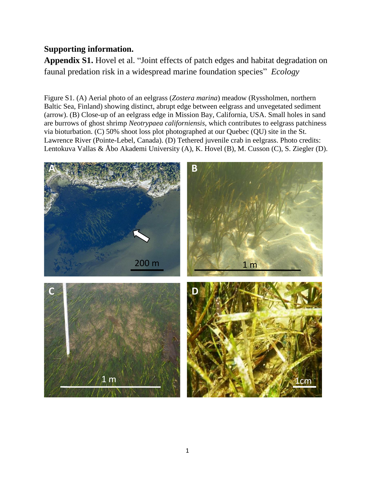## **Supporting information.**

**Appendix S1.** Hovel et al. "Joint effects of patch edges and habitat degradation on faunal predation risk in a widespread marine foundation species" *Ecology*

Figure S1. (A) Aerial photo of an eelgrass (*Zostera marina*) meadow (Ryssholmen, northern Baltic Sea, Finland) showing distinct, abrupt edge between eelgrass and unvegetated sediment (arrow). (B) Close-up of an eelgrass edge in Mission Bay, California, USA. Small holes in sand are burrows of ghost shrimp *Neotrypaea californiensis*, which contributes to eelgrass patchiness via bioturbation. (C) 50% shoot loss plot photographed at our Quebec (QU) site in the St. Lawrence River (Pointe-Lebel, Canada). (D) Tethered juvenile crab in eelgrass. Photo credits: Lentokuva Vallas & Åbo Akademi University (A), K. Hovel (B), M. Cusson (C), S. Ziegler (D).

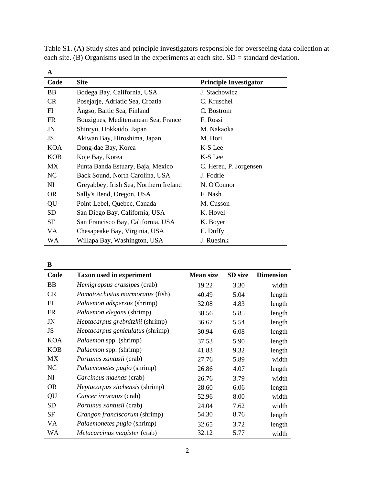| A          |                                        |                               |
|------------|----------------------------------------|-------------------------------|
| Code       | <b>Site</b>                            | <b>Principle Investigator</b> |
| <b>BB</b>  | Bodega Bay, California, USA            | J. Stachowicz                 |
| CR         | Posejarje, Adriatic Sea, Croatia       | C. Kruschel                   |
| FI         | Ängsö, Baltic Sea, Finland             | C. Boström                    |
| FR         | Bouzigues, Mediterranean Sea, France   | F. Rossi                      |
| JN         | Shinryu, Hokkaido, Japan               | M. Nakaoka                    |
| JS         | Akiwan Bay, Hiroshima, Japan           | M. Hori                       |
| <b>KOA</b> | Dong-dae Bay, Korea                    | K-S Lee                       |
| <b>KOB</b> | Koje Bay, Korea                        | K-S Lee                       |
| <b>MX</b>  | Punta Banda Estuary, Baja, Mexico      | C. Hereu, P. Jorgensen        |
| NC         | Back Sound, North Carolina, USA        | J. Fodrie                     |
| NI         | Greyabbey, Irish Sea, Northern Ireland | N. O'Connor                   |
| <b>OR</b>  | Sally's Bend, Oregon, USA              | F. Nash                       |
| QU         | Point-Lebel, Quebec, Canada            | M. Cusson                     |
| SD         | San Diego Bay, California, USA         | K. Hovel                      |
| SF         | San Francisco Bay, California, USA     | K. Boyer                      |
| VA         | Chesapeake Bay, Virginia, USA          | E. Duffy                      |
| WA         | Willapa Bay, Washington, USA           | J. Ruesink                    |

Table S1. (A) Study sites and principle investigators responsible for overseeing data collection at each site. (B) Organisms used in the experiments at each site.  $SD =$  standard deviation.

**B**

| Code       | <b>Taxon used in experiment</b>         | <b>Mean size</b> | SD size | <b>Dimension</b> |
|------------|-----------------------------------------|------------------|---------|------------------|
| <b>BB</b>  | Hemigrapsus crassipes (crab)            | 19.22            | 3.30    | width            |
| <b>CR</b>  | Pomatoschistus marmoratus (fish)        | 40.49            | 5.04    | length           |
| FI         | Palaemon adspersus (shrimp)             | 32.08            | 4.83    | length           |
| <b>FR</b>  | <i>Palaemon elegans</i> (shrimp)        | 38.56            | 5.85    | length           |
| JN         | <i>Heptacarpus grebnitzkii</i> (shrimp) | 36.67            | 5.54    | length           |
| JS         | Heptacarpus geniculatus (shrimp)        | 30.94            | 6.08    | length           |
| <b>KOA</b> | <i>Palaemon</i> spp. (shrimp)           | 37.53            | 5.90    | length           |
| <b>KOB</b> | Palaemon spp. (shrimp)                  | 41.83            | 9.32    | length           |
| MX         | <i>Portunus xantusii</i> (crab)         | 27.76            | 5.89    | width            |
| NC         | <i>Palaemonetes pugio</i> (shrimp)      | 26.86            | 4.07    | length           |
| NI         | Carcincus maenas (crab)                 | 26.76            | 3.79    | width            |
| <b>OR</b>  | Heptacarpus sitchensis (shrimp)         | 28.60            | 6.06    | length           |
| QU         | Cancer irroratus (crab)                 | 52.96            | 8.00    | width            |
| <b>SD</b>  | Portunus xantusii (crab)                | 24.04            | 7.62    | width            |
| <b>SF</b>  | Crangon franciscorum (shrimp)           | 54.30            | 8.76    | length           |
| VA         | Palaemonetes pugio (shrimp)             | 32.65            | 3.72    | length           |
| WA         | Metacarcinus magister (crab)            | 32.12            | 5.77    | width            |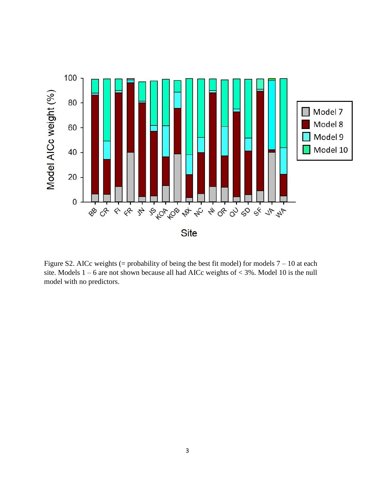

Figure S2. AICc weights (= probability of being the best fit model) for models  $7 - 10$  at each site. Models 1 – 6 are not shown because all had AICc weights of < 3%. Model 10 is the null model with no predictors.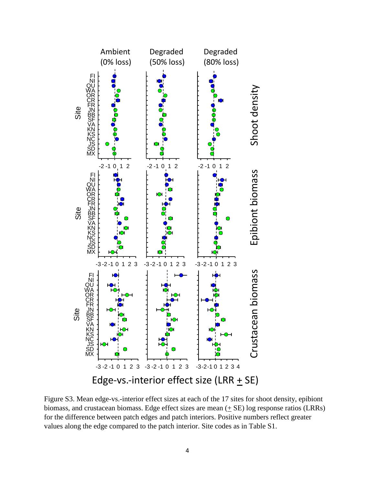

Figure S3. Mean edge-vs.-interior effect sizes at each of the 17 sites for shoot density, epibiont biomass, and crustacean biomass. Edge effect sizes are mean (+ SE) log response ratios (LRRs) for the difference between patch edges and patch interiors. Positive numbers reflect greater values along the edge compared to the patch interior. Site codes as in Table S1.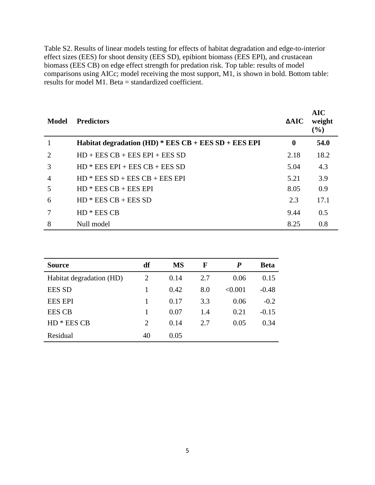Table S2. Results of linear models testing for effects of habitat degradation and edge-to-interior effect sizes (EES) for shoot density (EES SD), epibiont biomass (EES EPI), and crustacean biomass (EES CB) on edge effect strength for predation risk. Top table: results of model comparisons using AICc; model receiving the most support, M1, is shown in bold. Bottom table: results for model M1. Beta = standardized coefficient.

| Model                       | <b>Predictors</b>                                      | $\Delta AIC$ | <b>AIC</b><br>weight<br>$(\%)$ |
|-----------------------------|--------------------------------------------------------|--------------|--------------------------------|
|                             | Habitat degradation $(HD) * EES CB + EES SD + EES EPI$ | $\bf{0}$     | 54.0                           |
| $\mathcal{D}_{\mathcal{L}}$ | $HD + EES CB + EES EPI + EES SD$                       | 2.18         | 18.2                           |
| 3                           | $HD * EES EPI + EES CB + EES SD$                       | 5.04         | 4.3                            |
| 4                           | $HD * EES SD + EES CB + EES EPI$                       | 5.21         | 3.9                            |
| 5                           | $HD * EES CB + EES EPI$                                | 8.05         | 0.9                            |
| 6                           | $HD * EES CB + EES SD$                                 | 2.3          | 17.1                           |
|                             | $HD * EES CB$                                          | 9.44         | 0.5                            |
| 8                           | Null model                                             | 8.25         | 0.8                            |

| <b>Source</b>            | df | <b>MS</b> | F   | P       | Beta    |
|--------------------------|----|-----------|-----|---------|---------|
| Habitat degradation (HD) | 2  | 0.14      | 2.7 | 0.06    | 0.15    |
| <b>EES SD</b>            |    | 0.42      | 8.0 | < 0.001 | $-0.48$ |
| <b>EES EPI</b>           |    | 0.17      | 3.3 | 0.06    | $-0.2$  |
| <b>EES CB</b>            |    | 0.07      | 1.4 | 0.21    | $-0.15$ |
| * EES CB<br>HD.          | 2  | 0.14      | 2.7 | 0.05    | 0.34    |
| Residual                 | 40 | 0.05      |     |         |         |